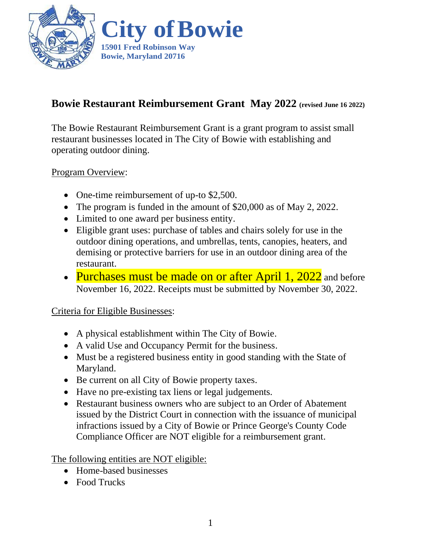

# **Bowie Restaurant Reimbursement Grant May 2022 (revised June 16 2022)**

The Bowie Restaurant Reimbursement Grant is a grant program to assist small restaurant businesses located in The City of Bowie with establishing and operating outdoor dining.

### Program Overview:

- One-time reimbursement of up-to \$2,500.
- The program is funded in the amount of \$20,000 as of May 2, 2022.
- Limited to one award per business entity.
- Eligible grant uses: purchase of tables and chairs solely for use in the outdoor dining operations, and umbrellas, tents, canopies, heaters, and demising or protective barriers for use in an outdoor dining area of the restaurant.
- Purchases must be made on or after April 1, 2022 and before November 16, 2022. Receipts must be submitted by November 30, 2022.

#### Criteria for Eligible Businesses:

- A physical establishment within The City of Bowie.
- A valid Use and Occupancy Permit for the business.
- Must be a registered business entity in good standing with the State of Maryland.
- Be current on all City of Bowie property taxes.
- Have no pre-existing tax liens or legal judgements.
- Restaurant business owners who are subject to an Order of Abatement issued by the District Court in connection with the issuance of municipal infractions issued by a City of Bowie or Prince George's County Code Compliance Officer are NOT eligible for a reimbursement grant.

The following entities are NOT eligible:

- Home-based businesses
- Food Trucks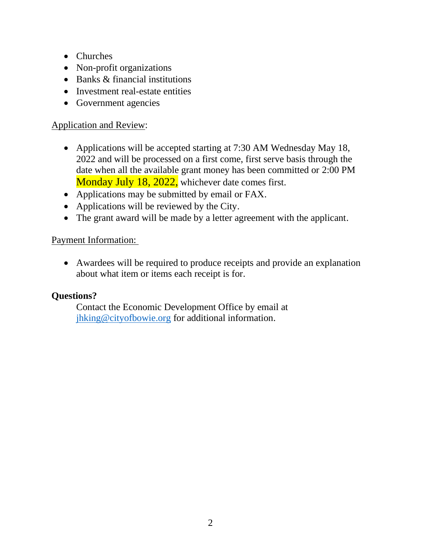- Churches
- Non-profit organizations
- Banks & financial institutions
- Investment real-estate entities
- Government agencies

### Application and Review:

- Applications will be accepted starting at 7:30 AM Wednesday May 18, 2022 and will be processed on a first come, first serve basis through the date when all the available grant money has been committed or 2:00 PM Monday July 18, 2022, whichever date comes first.
- Applications may be submitted by email or FAX.
- Applications will be reviewed by the City.
- The grant award will be made by a letter agreement with the applicant.

### Payment Information:

• Awardees will be required to produce receipts and provide an explanation about what item or items each receipt is for.

## **Questions?**

Contact the Economic Development Office by email at [jhking@cityofbowie.org](mailto:jhking@cityofbowie.org) for additional information.